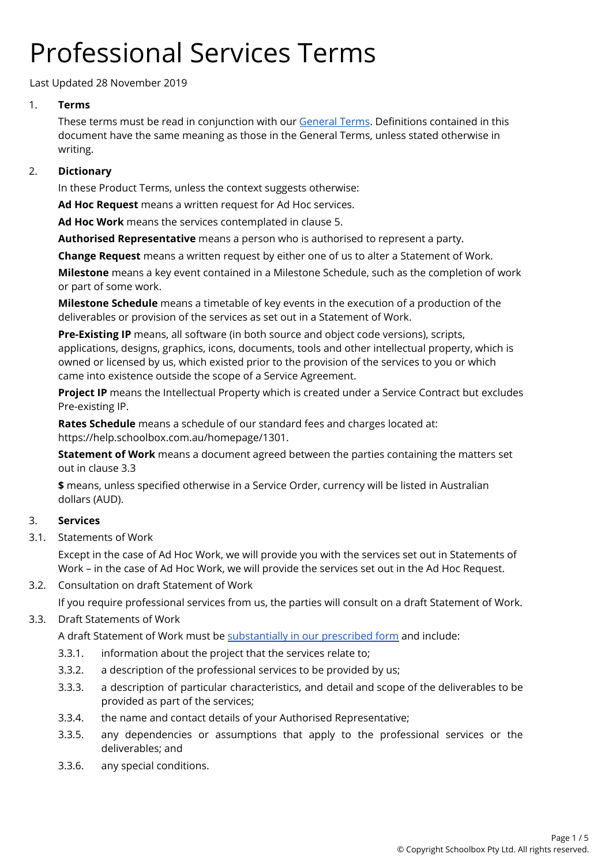# Professional Services Terms

Last Updated 28 November 2019

# 1. **Terms**

These terms must be read in conjunction with our [General](https://schoolbox.com.au/legal/general-terms) Terms. Definitions contained in this document have the same meaning as those in the General Terms, unless stated otherwise in writing.

# 2. **Dictionary**

In these Product Terms, unless the context suggests otherwise:

**Ad Hoc Request** means a written request for Ad Hoc services.

**Ad Hoc Work** means the services contemplated in clause 5.

**Authorised Representative** means a person who is authorised to represent a party.

**Change Request** means a written request by either one of us to alter a Statement of Work.

**Milestone** means a key event contained in a Milestone Schedule, such as the completion of work or part of some work.

**Milestone Schedule** means a timetable of key events in the execution of a production of the deliverables or provision of the services as set out in a Statement of Work.

**Pre-Existing IP** means, all software (in both source and object code versions), scripts, applications, designs, graphics, icons, documents, tools and other intellectual property, which is owned or licensed by us, which existed prior to the provision of the services to you or which came into existence outside the scope of a Service Agreement.

**Project IP** means the Intellectual Property which is created under a Service Contract but excludes Pre-existing IP.

**Rates Schedule** means a schedule of our standard fees and charges located at: https://help.schoolbox.com.au/homepage/1301.

**Statement of Work** means a document agreed between the parties containing the matters set out in clause 3.3

**\$** means, unless specified otherwise in a Service Order, currency will be listed in Australian dollars (AUD).

# 3. **Services**

3.1. Statements of Work

Except in the case of Ad Hoc Work, we will provide you with the services set out in Statements of Work – in the case of Ad Hoc Work, we will provide the services set out in the Ad Hoc Request.

3.2. Consultation on draft Statement of Work

If you require professional services from us, the parties will consult on a draft Statement of Work.

# 3.3. Draft Statements of Work

A draft Statement of Work must be [substantially](https://help.schoolbox.com.au/homepage/1302) in our prescribed form and include:

- 3.3.1. information about the project that the services relate to;
- 3.3.2. a description of the professional services to be provided by us;
- 3.3.3. a description of particular characteristics, and detail and scope of the deliverables to be provided as part of the services;
- 3.3.4. the name and contact details of your Authorised Representative;
- 3.3.5. any dependencies or assumptions that apply to the professional services or the deliverables; and
- 3.3.6. any special conditions.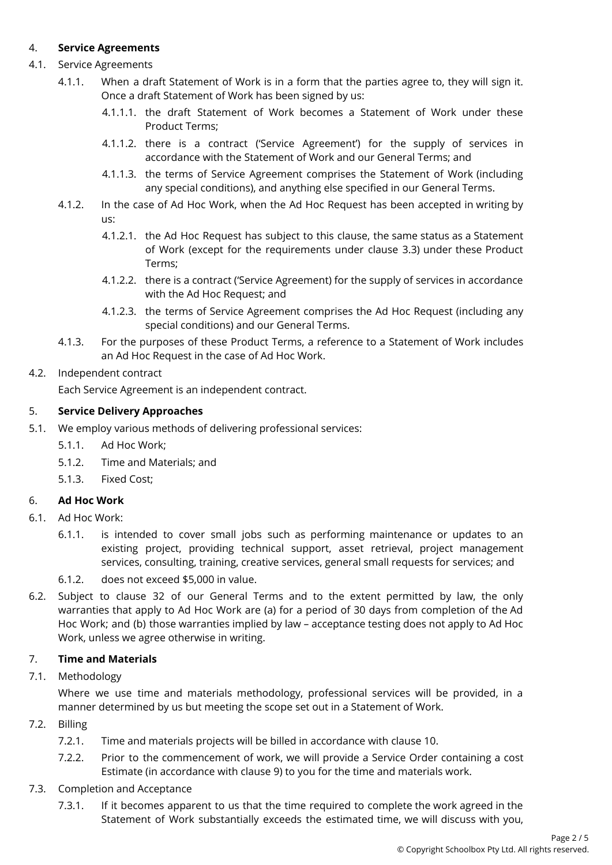## 4. **Service Agreements**

- 4.1. Service Agreements
	- 4.1.1. When a draft Statement of Work is in a form that the parties agree to, they will sign it. Once a draft Statement of Work has been signed by us:
		- 4.1.1.1. the draft Statement of Work becomes a Statement of Work under these Product Terms;
		- 4.1.1.2. there is a contract ('Service Agreement') for the supply of services in accordance with the Statement of Work and our General Terms; and
		- 4.1.1.3. the terms of Service Agreement comprises the Statement of Work (including any special conditions), and anything else specified in our General Terms.
	- 4.1.2. In the case of Ad Hoc Work, when the Ad Hoc Request has been accepted in writing by us:
		- 4.1.2.1. the Ad Hoc Request has subject to this clause, the same status as a Statement of Work (except for the requirements under clause 3.3) under these Product Terms;
		- 4.1.2.2. there is a contract ('Service Agreement) for the supply of services in accordance with the Ad Hoc Request; and
		- 4.1.2.3. the terms of Service Agreement comprises the Ad Hoc Request (including any special conditions) and our General Terms.
	- 4.1.3. For the purposes of these Product Terms, a reference to a Statement of Work includes an Ad Hoc Request in the case of Ad Hoc Work.

## 4.2. Independent contract

Each Service Agreement is an independent contract.

#### 5. **Service Delivery Approaches**

- 5.1. We employ various methods of delivering professional services:
	- 5.1.1. Ad Hoc Work;
	- 5.1.2. Time and Materials; and
	- 5.1.3. Fixed Cost;

#### 6. **Ad Hoc Work**

- 6.1. Ad Hoc Work:
	- 6.1.1. is intended to cover small jobs such as performing maintenance or updates to an existing project, providing technical support, asset retrieval, project management services, consulting, training, creative services, general small requests for services; and
	- 6.1.2. does not exceed \$5,000 in value.
- 6.2. Subject to clause 32 of our General Terms and to the extent permitted by law, the only warranties that apply to Ad Hoc Work are (a) for a period of 30 days from completion of the Ad Hoc Work; and (b) those warranties implied by law – acceptance testing does not apply to Ad Hoc Work, unless we agree otherwise in writing.

#### 7. **Time and Materials**

7.1. Methodology

Where we use time and materials methodology, professional services will be provided, in a manner determined by us but meeting the scope set out in a Statement of Work.

- 7.2. Billing
	- 7.2.1. Time and materials projects will be billed in accordance with clause 10.
	- 7.2.2. Prior to the commencement of work, we will provide a Service Order containing a cost Estimate (in accordance with clause 9) to you for the time and materials work.
- 7.3. Completion and Acceptance
	- 7.3.1. If it becomes apparent to us that the time required to complete the work agreed in the Statement of Work substantially exceeds the estimated time, we will discuss with you,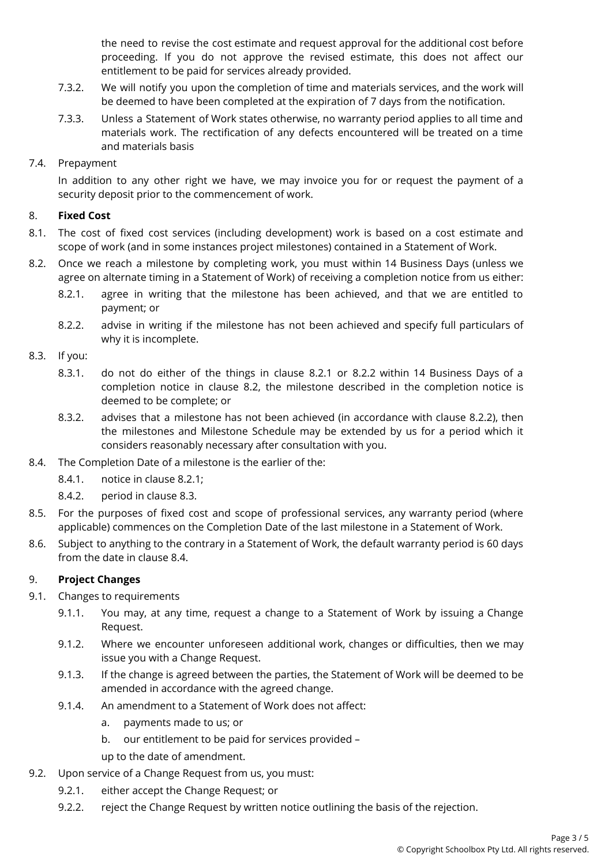the need to revise the cost estimate and request approval for the additional cost before proceeding. If you do not approve the revised estimate, this does not affect our entitlement to be paid for services already provided.

- 7.3.2. We will notify you upon the completion of time and materials services, and the work will be deemed to have been completed at the expiration of 7 days from the notification.
- 7.3.3. Unless a Statement of Work states otherwise, no warranty period applies to all time and materials work. The rectification of any defects encountered will be treated on a time and materials basis

#### 7.4. Prepayment

In addition to any other right we have, we may invoice you for or request the payment of a security deposit prior to the commencement of work.

#### 8. **Fixed Cost**

- 8.1. The cost of fixed cost services (including development) work is based on a cost estimate and scope of work (and in some instances project milestones) contained in a Statement of Work.
- 8.2. Once we reach a milestone by completing work, you must within 14 Business Days (unless we agree on alternate timing in a Statement of Work) of receiving a completion notice from us either:
	- 8.2.1. agree in writing that the milestone has been achieved, and that we are entitled to payment; or
	- 8.2.2. advise in writing if the milestone has not been achieved and specify full particulars of why it is incomplete.
- 8.3. If you:
	- 8.3.1. do not do either of the things in clause 8.2.1 or 8.2.2 within 14 Business Days of a completion notice in clause 8.2, the milestone described in the completion notice is deemed to be complete; or
	- 8.3.2. advises that a milestone has not been achieved (in accordance with clause 8.2.2), then the milestones and Milestone Schedule may be extended by us for a period which it considers reasonably necessary after consultation with you.
- 8.4. The Completion Date of a milestone is the earlier of the:
	- 8.4.1. notice in clause 8.2.1;
	- 8.4.2. period in clause 8.3.
- 8.5. For the purposes of fixed cost and scope of professional services, any warranty period (where applicable) commences on the Completion Date of the last milestone in a Statement of Work.
- 8.6. Subject to anything to the contrary in a Statement of Work, the default warranty period is 60 days from the date in clause 8.4.

#### 9. **Project Changes**

- 9.1. Changes to requirements
	- 9.1.1. You may, at any time, request a change to a Statement of Work by issuing a Change Request.
	- 9.1.2. Where we encounter unforeseen additional work, changes or difficulties, then we may issue you with a Change Request.
	- 9.1.3. If the change is agreed between the parties, the Statement of Work will be deemed to be amended in accordance with the agreed change.
	- 9.1.4. An amendment to a Statement of Work does not affect:
		- a. payments made to us; or
		- b. our entitlement to be paid for services provided –
		- up to the date of amendment.
- 9.2. Upon service of a Change Request from us, you must:
	- 9.2.1. either accept the Change Request; or
	- 9.2.2. reject the Change Request by written notice outlining the basis of the rejection.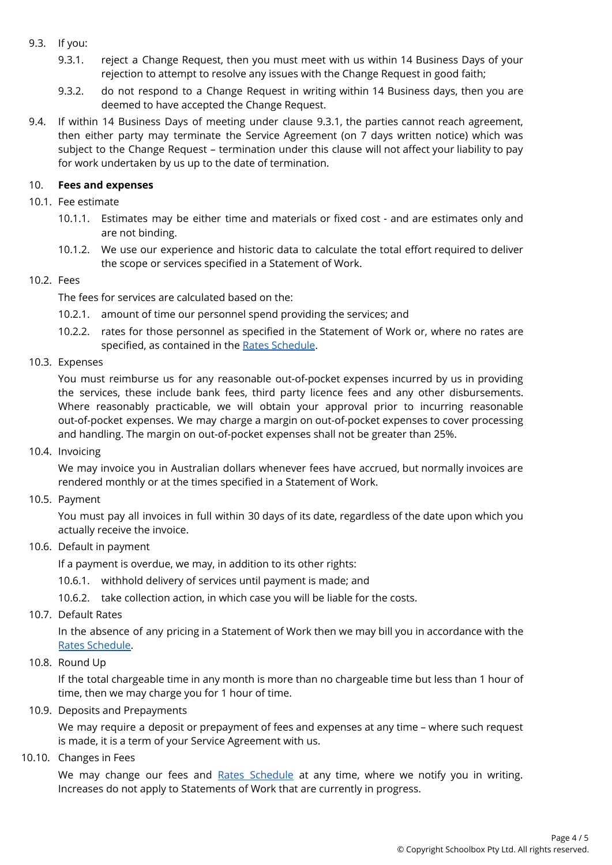### 9.3. If you:

- 9.3.1. reject a Change Request, then you must meet with us within 14 Business Days of your rejection to attempt to resolve any issues with the Change Request in good faith;
- 9.3.2. do not respond to a Change Request in writing within 14 Business days, then you are deemed to have accepted the Change Request.
- 9.4. If within 14 Business Days of meeting under clause 9.3.1, the parties cannot reach agreement, then either party may terminate the Service Agreement (on 7 days written notice) which was subject to the Change Request – termination under this clause will not affect your liability to pay for work undertaken by us up to the date of termination.

### 10. **Fees and expenses**

- 10.1. Fee estimate
	- 10.1.1. Estimates may be either time and materials or fixed cost and are estimates only and are not binding.
	- 10.1.2. We use our experience and historic data to calculate the total effort required to deliver the scope or services specified in a Statement of Work.

## 10.2. Fees

The fees for services are calculated based on the:

- 10.2.1. amount of time our personnel spend providing the services; and
- 10.2.2. rates for those personnel as specified in the Statement of Work or, where no rates are specified, as contained in the Rates [Schedule](https://help.schoolbox.com.au/homepage/1301).
- 10.3. Expenses

You must reimburse us for any reasonable out-of-pocket expenses incurred by us in providing the services, these include bank fees, third party licence fees and any other disbursements. Where reasonably practicable, we will obtain your approval prior to incurring reasonable out-of-pocket expenses. We may charge a margin on out-of-pocket expenses to cover processing and handling. The margin on out-of-pocket expenses shall not be greater than 25%.

10.4. Invoicing

We may invoice you in Australian dollars whenever fees have accrued, but normally invoices are rendered monthly or at the times specified in a Statement of Work.

10.5. Payment

You must pay all invoices in full within 30 days of its date, regardless of the date upon which you actually receive the invoice.

# 10.6. Default in payment

If a payment is overdue, we may, in addition to its other rights:

- 10.6.1. withhold delivery of services until payment is made; and
- 10.6.2. take collection action, in which case you will be liable for the costs.
- 10.7. Default Rates

In the absence of any pricing in a Statement of Work then we may bill you in accordance with the Rates [Schedule.](https://help.schoolbox.com.au/homepage/1301)

10.8. Round Up

If the total chargeable time in any month is more than no chargeable time but less than 1 hour of time, then we may charge you for 1 hour of time.

#### 10.9. Deposits and Prepayments

We may require a deposit or prepayment of fees and expenses at any time – where such request is made, it is a term of your Service Agreement with us.

10.10. Changes in Fees

We may change our fees and Rates [Schedule](https://help.schoolbox.com.au/homepage/1301) at any time, where we notify you in writing. Increases do not apply to Statements of Work that are currently in progress.